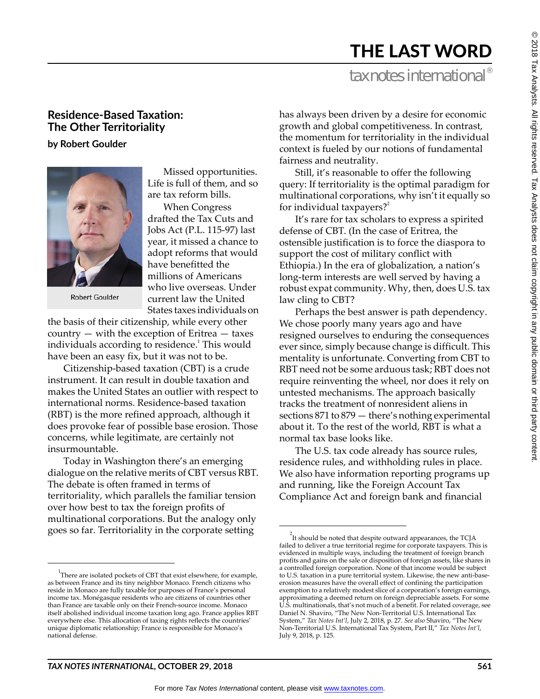# THE LAST WORD

## tax notes international<sup>®</sup>

### **Residence-Based Taxation: The Other Territoriality**

**by Robert Goulder**



**Robert Goulder** 

Missed opportunities. Life is full of them, and so are tax reform bills.

When Congress drafted the Tax Cuts and Jobs Act (P.L. 115-97) last year, it missed a chance to adopt reforms that would have benefitted the millions of Americans who live overseas. Under current law the United States taxes individuals on

the basis of their citizenship, while every other country — with the exception of Eritrea — taxes individuals according to residence.<sup>1</sup> This would have been an easy fix, but it was not to be.

Citizenship-based taxation (CBT) is a crude instrument. It can result in double taxation and makes the United States an outlier with respect to international norms. Residence-based taxation (RBT) is the more refined approach, although it does provoke fear of possible base erosion. Those concerns, while legitimate, are certainly not insurmountable.

Today in Washington there's an emerging dialogue on the relative merits of CBT versus RBT. The debate is often framed in terms of territoriality, which parallels the familiar tension over how best to tax the foreign profits of multinational corporations. But the analogy only goes so far. Territoriality in the corporate setting

has always been driven by a desire for economic growth and global competitiveness. In contrast, the momentum for territoriality in the individual context is fueled by our notions of fundamental fairness and neutrality.

Still, it's reasonable to offer the following query: If territoriality is the optimal paradigm for multinational corporations, why isn't it equally so for individual taxpayers?<sup>2</sup>

It's rare for tax scholars to express a spirited defense of CBT. (In the case of Eritrea, the ostensible justification is to force the diaspora to support the cost of military conflict with Ethiopia.) In the era of globalization, a nation's long-term interests are well served by having a robust expat community. Why, then, does U.S. tax law cling to CBT?

Perhaps the best answer is path dependency. We chose poorly many years ago and have resigned ourselves to enduring the consequences ever since, simply because change is difficult. This mentality is unfortunate. Converting from CBT to RBT need not be some arduous task; RBT does not require reinventing the wheel, nor does it rely on untested mechanisms. The approach basically tracks the treatment of nonresident aliens in sections 871 to 879 — there's nothing experimental about it. To the rest of the world, RBT is what a normal tax base looks like.

The U.S. tax code already has source rules, residence rules, and withholding rules in place. We also have information reporting programs up and running, like the Foreign Account Tax Compliance Act and foreign bank and financial

<sup>&</sup>lt;sup>1</sup>There are isolated pockets of CBT that exist elsewhere, for example, as between France and its tiny neighbor Monaco. French citizens who reside in Monaco are fully taxable for purposes of France's personal income tax. Monégasque residents who are citizens of countries other than France are taxable only on their French-source income. Monaco itself abolished individual income taxation long ago. France applies RBT everywhere else. This allocation of taxing rights reflects the countries' unique diplomatic relationship; France is responsible for Monaco's national defense.

 $2$ It should be noted that despite outward appearances, the TCJA failed to deliver a true territorial regime for corporate taxpayers. This is evidenced in multiple ways, including the treatment of foreign branch profits and gains on the sale or disposition of foreign assets, like shares in a controlled foreign corporation. None of that income would be subject to U.S. taxation in a pure territorial system. Likewise, the new anti-baseerosion measures have the overall effect of confining the participation exemption to a relatively modest slice of a corporation's foreign earnings, approximating a deemed return on foreign depreciable assets. For some U.S. multinationals, that's not much of a benefit. For related coverage, see Daniel N. Shaviro, "The New Non-Territorial U.S. International Tax System," *Tax Notes Int'l*, July 2, 2018, p. 27. *See also* Shaviro, "The New Non-Territorial U.S. International Tax System, Part II," *Tax Notes Int'l*, July 9, 2018, p. 125.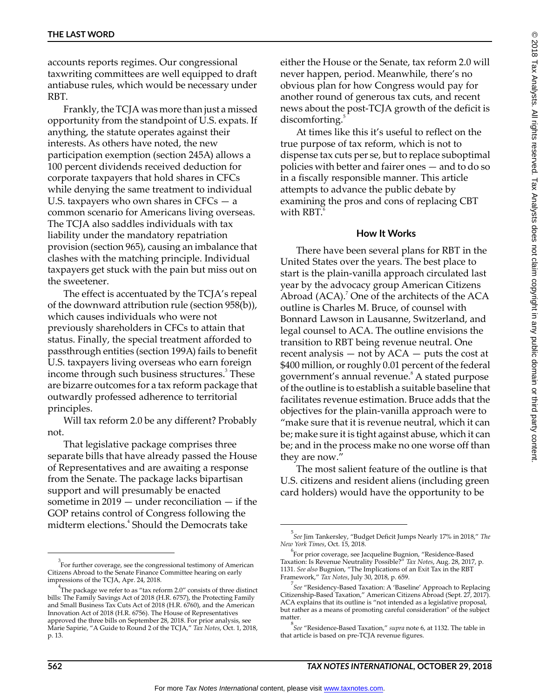accounts reports regimes. Our congressional taxwriting committees are well equipped to draft antiabuse rules, which would be necessary under RBT.

Frankly, the TCJA was more than just a missed opportunity from the standpoint of U.S. expats. If anything, the statute operates against their interests. As others have noted, the new participation exemption (section 245A) allows a 100 percent dividends received deduction for corporate taxpayers that hold shares in CFCs while denying the same treatment to individual U.S. taxpayers who own shares in  $CFCs - a$ common scenario for Americans living overseas. The TCJA also saddles individuals with tax liability under the mandatory repatriation provision (section 965), causing an imbalance that clashes with the matching principle. Individual taxpayers get stuck with the pain but miss out on the sweetener.

The effect is accentuated by the TCJA's repeal of the downward attribution rule (section 958(b)), which causes individuals who were not previously shareholders in CFCs to attain that status. Finally, the special treatment afforded to passthrough entities (section 199A) fails to benefit U.S. taxpayers living overseas who earn foreign income through such business structures.<sup>3</sup> These are bizarre outcomes for a tax reform package that outwardly professed adherence to territorial principles.

Will tax reform 2.0 be any different? Probably not.

That legislative package comprises three separate bills that have already passed the House of Representatives and are awaiting a response from the Senate. The package lacks bipartisan support and will presumably be enacted sometime in  $2019$  — under reconciliation — if the GOP retains control of Congress following the midterm elections.<sup>4</sup> Should the Democrats take

either the House or the Senate, tax reform 2.0 will never happen, period. Meanwhile, there's no obvious plan for how Congress would pay for another round of generous tax cuts, and recent news about the post-TCJA growth of the deficit is discomforting.

At times like this it's useful to reflect on the true purpose of tax reform, which is not to dispense tax cuts per se, but to replace suboptimal policies with better and fairer ones — and to do so in a fiscally responsible manner. This article attempts to advance the public debate by examining the pros and cons of replacing CBT with RBT.

#### **How It Works**

There have been several plans for RBT in the United States over the years. The best place to start is the plain-vanilla approach circulated last year by the advocacy group American Citizens Abroad  $(ACA)$ .<sup>7</sup> One of the architects of the ACA outline is Charles M. Bruce, of counsel with Bonnard Lawson in Lausanne, Switzerland, and legal counsel to ACA. The outline envisions the transition to RBT being revenue neutral. One recent analysis  $-$  not by  $ACA - puts$  the cost at \$400 million, or roughly 0.01 percent of the federal government's annual revenue.<sup>8</sup> A stated purpose of the outline is to establish a suitable baseline that facilitates revenue estimation. Bruce adds that the objectives for the plain-vanilla approach were to "make sure that it is revenue neutral, which it can be; make sure it is tight against abuse, which it can be; and in the process make no one worse off than they are now."

The most salient feature of the outline is that U.S. citizens and resident aliens (including green card holders) would have the opportunity to be

<sup>3</sup> For further coverage, see the congressional testimony of American Citizens Abroad to the Senate Finance Committee hearing on early impressions of the TCJA, Apr. 24, 2018.

<sup>&</sup>lt;sup>4</sup>The package we refer to as "tax reform 2.0" consists of three distinct bills: The Family Savings Act of 2018 (H.R. 6757), the Protecting Family and Small Business Tax Cuts Act of 2018 (H.R. 6760), and the American Innovation Act of 2018 (H.R. 6756). The House of Representatives approved the three bills on September 28, 2018. For prior analysis, see Marie Sapirie, "A Guide to Round 2 of the TCJA," *Tax Notes*, Oct. 1, 2018, p. 13.

<sup>5</sup> *See* Jim Tankersley, "Budget Deficit Jumps Nearly 17% in 2018," *The New York Times*, Oct. 15, 2018.

<sup>6</sup> For prior coverage, see Jacqueline Bugnion, "Residence-Based Taxation: Is Revenue Neutrality Possible?" *Tax Notes*, Aug. 28, 2017, p. 1131. *See also* Bugnion, "The Implications of an Exit Tax in the RBT Framework," *Tax Notes*, July 30, 2018, p. 659.

<sup>7</sup> *See* "Residency-Based Taxation: A 'Baseline' Approach to Replacing Citizenship-Based Taxation," American Citizens Abroad (Sept. 27, 2017). ACA explains that its outline is "not intended as a legislative proposal, but rather as a means of promoting careful consideration" of the subject matter.

<sup>8</sup> *See* "Residence-Based Taxation," *supra* note 6, at 1132. The table in that article is based on pre-TCJA revenue figures.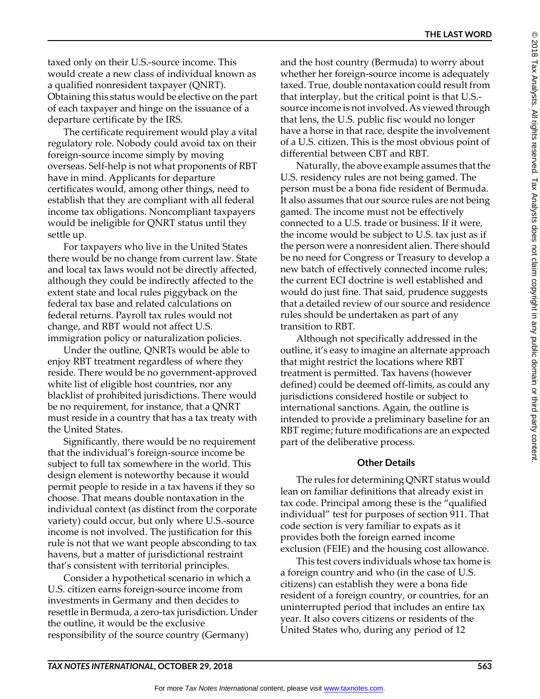taxed only on their U.S.-source income. This would create a new class of individual known as a qualified nonresident taxpayer (QNRT). Obtaining this status would be elective on the part of each taxpayer and hinge on the issuance of a departure certificate by the IRS.

The certificate requirement would play a vital regulatory role. Nobody could avoid tax on their foreign-source income simply by moving overseas. Self-help is not what proponents of RBT have in mind. Applicants for departure certificates would, among other things, need to establish that they are compliant with all federal income tax obligations. Noncompliant taxpayers would be ineligible for QNRT status until they settle up.

For taxpayers who live in the United States there would be no change from current law. State and local tax laws would not be directly affected, although they could be indirectly affected to the extent state and local rules piggyback on the federal tax base and related calculations on federal returns. Payroll tax rules would not change, and RBT would not affect U.S. immigration policy or naturalization policies.

Under the outline, QNRTs would be able to enjoy RBT treatment regardless of where they reside. There would be no government-approved white list of eligible host countries, nor any blacklist of prohibited jurisdictions. There would be no requirement, for instance, that a QNRT must reside in a country that has a tax treaty with the United States.

Significantly, there would be no requirement that the individual's foreign-source income be subject to full tax somewhere in the world. This design element is noteworthy because it would permit people to reside in a tax havens if they so choose. That means double nontaxation in the individual context (as distinct from the corporate variety) could occur, but only where U.S.-source income is not involved. The justification for this rule is not that we want people absconding to tax havens, but a matter of jurisdictional restraint that's consistent with territorial principles.

Consider a hypothetical scenario in which a U.S. citizen earns foreign-source income from investments in Germany and then decides to resettle in Bermuda, a zero-tax jurisdiction. Under the outline, it would be the exclusive responsibility of the source country (Germany)

and the host country (Bermuda) to worry about whether her foreign-source income is adequately taxed. True, double nontaxation could result from that interplay, but the critical point is that U.S. source income is not involved. As viewed through that lens, the U.S. public fisc would no longer have a horse in that race, despite the involvement of a U.S. citizen. This is the most obvious point of differential between CBT and RBT.

Naturally, the above example assumes that the U.S. residency rules are not being gamed. The person must be a bona fide resident of Bermuda. It also assumes that our source rules are not being gamed. The income must not be effectively connected to a U.S. trade or business. If it were, the income would be subject to U.S. tax just as if the person were a nonresident alien. There should be no need for Congress or Treasury to develop a new batch of effectively connected income rules; the current ECI doctrine is well established and would do just fine. That said, prudence suggests that a detailed review of our source and residence rules should be undertaken as part of any transition to RBT.

Although not specifically addressed in the outline, it's easy to imagine an alternate approach that might restrict the locations where RBT treatment is permitted. Tax havens (however defined) could be deemed off-limits, as could any jurisdictions considered hostile or subject to international sanctions. Again, the outline is intended to provide a preliminary baseline for an RBT regime; future modifications are an expected part of the deliberative process.

#### **Other Details**

The rules for determining QNRT status would lean on familiar definitions that already exist in tax code. Principal among these is the "qualified individual" test for purposes of section 911. That code section is very familiar to expats as it provides both the foreign earned income exclusion (FEIE) and the housing cost allowance.

This test covers individuals whose tax home is a foreign country and who (in the case of U.S. citizens) can establish they were a bona fide resident of a foreign country, or countries, for an uninterrupted period that includes an entire tax year. It also covers citizens or residents of the United States who, during any period of 12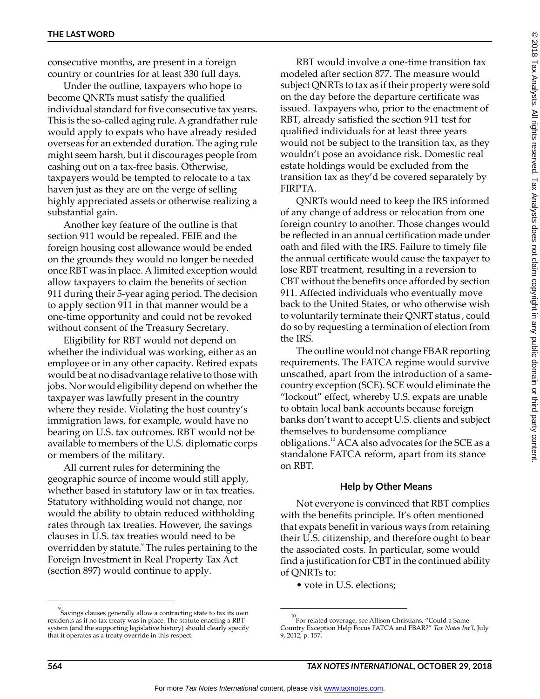consecutive months, are present in a foreign country or countries for at least 330 full days.

Under the outline, taxpayers who hope to become QNRTs must satisfy the qualified individual standard for five consecutive tax years. This is the so-called aging rule. A grandfather rule would apply to expats who have already resided overseas for an extended duration. The aging rule might seem harsh, but it discourages people from cashing out on a tax-free basis. Otherwise, taxpayers would be tempted to relocate to a tax haven just as they are on the verge of selling highly appreciated assets or otherwise realizing a substantial gain.

Another key feature of the outline is that section 911 would be repealed. FEIE and the foreign housing cost allowance would be ended on the grounds they would no longer be needed once RBT was in place. A limited exception would allow taxpayers to claim the benefits of section 911 during their 5-year aging period. The decision to apply section 911 in that manner would be a one-time opportunity and could not be revoked without consent of the Treasury Secretary.

Eligibility for RBT would not depend on whether the individual was working, either as an employee or in any other capacity. Retired expats would be at no disadvantage relative to those with jobs. Nor would eligibility depend on whether the taxpayer was lawfully present in the country where they reside. Violating the host country's immigration laws, for example, would have no bearing on U.S. tax outcomes. RBT would not be available to members of the U.S. diplomatic corps or members of the military.

All current rules for determining the geographic source of income would still apply, whether based in statutory law or in tax treaties. Statutory withholding would not change, nor would the ability to obtain reduced withholding rates through tax treaties. However, the savings clauses in U.S. tax treaties would need to be overridden by statute.<sup>9</sup> The rules pertaining to the Foreign Investment in Real Property Tax Act (section 897) would continue to apply.

RBT would involve a one-time transition tax modeled after section 877. The measure would subject QNRTs to tax as if their property were sold on the day before the departure certificate was issued. Taxpayers who, prior to the enactment of RBT, already satisfied the section 911 test for qualified individuals for at least three years would not be subject to the transition tax, as they wouldn't pose an avoidance risk. Domestic real estate holdings would be excluded from the transition tax as they'd be covered separately by FIRPTA.

QNRTs would need to keep the IRS informed of any change of address or relocation from one foreign country to another. Those changes would be reflected in an annual certification made under oath and filed with the IRS. Failure to timely file the annual certificate would cause the taxpayer to lose RBT treatment, resulting in a reversion to CBT without the benefits once afforded by section 911. Affected individuals who eventually move back to the United States, or who otherwise wish to voluntarily terminate their QNRT status , could do so by requesting a termination of election from the IRS.

The outline would not change FBAR reporting requirements. The FATCA regime would survive unscathed, apart from the introduction of a samecountry exception (SCE). SCE would eliminate the "lockout" effect, whereby U.S. expats are unable to obtain local bank accounts because foreign banks don't want to accept U.S. clients and subject themselves to burdensome compliance obligations.<sup>10</sup> ACA also advocates for the SCE as a standalone FATCA reform, apart from its stance on RBT.

#### **Help by Other Means**

Not everyone is convinced that RBT complies with the benefits principle. It's often mentioned that expats benefit in various ways from retaining their U.S. citizenship, and therefore ought to bear the associated costs. In particular, some would find a justification for CBT in the continued ability of QNRTs to:

• vote in U.S. elections;

<sup>9</sup> Savings clauses generally allow a contracting state to tax its own residents as if no tax treaty was in place. The statute enacting a RBT system (and the supporting legislative history) should clearly specify that it operates as a treaty override in this respect.

 $^{10}$ For related coverage, see Allison Christians, "Could a Same-Country Exception Help Focus FATCA and FBAR?" *Tax Notes Int'l*, July 9, 2012, p. 157.